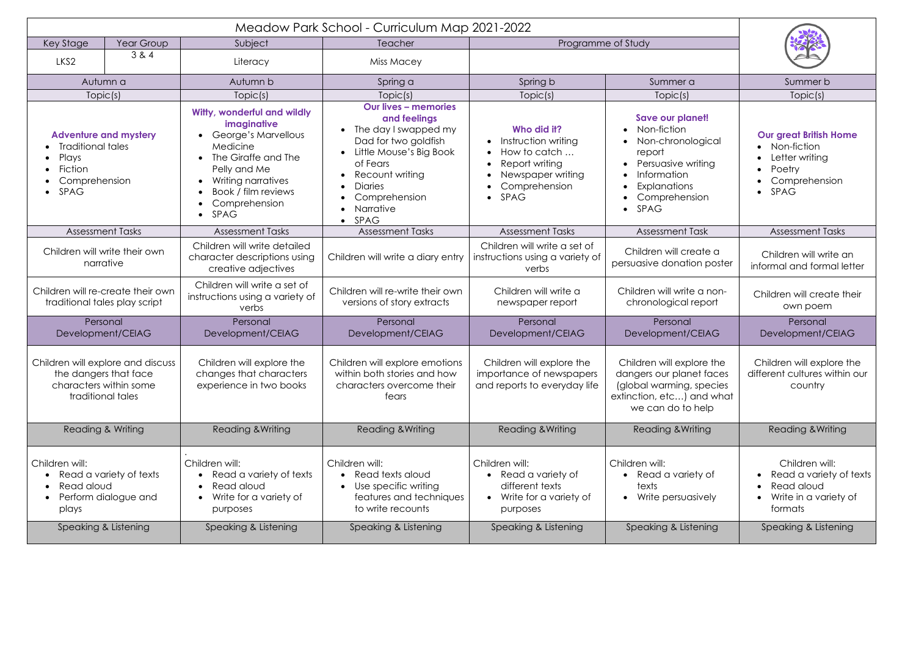| Key Stage                                                                                                       | Year Group | Subject                                                                                                                                                                                                 | Teacher                                                                                                                                                                                                              | Programme of Study                                                                                                 |                                                                                                                                                     |                                                                                                                |
|-----------------------------------------------------------------------------------------------------------------|------------|---------------------------------------------------------------------------------------------------------------------------------------------------------------------------------------------------------|----------------------------------------------------------------------------------------------------------------------------------------------------------------------------------------------------------------------|--------------------------------------------------------------------------------------------------------------------|-----------------------------------------------------------------------------------------------------------------------------------------------------|----------------------------------------------------------------------------------------------------------------|
| LKS2                                                                                                            | 3 & 4      | Literacy                                                                                                                                                                                                | Miss Macey                                                                                                                                                                                                           |                                                                                                                    |                                                                                                                                                     |                                                                                                                |
| Autumn a                                                                                                        |            | Autumn b                                                                                                                                                                                                | Spring a                                                                                                                                                                                                             | Spring b                                                                                                           | Summer a                                                                                                                                            | Summer b                                                                                                       |
| Topic(s)                                                                                                        |            | Topic(s)                                                                                                                                                                                                | Topic(s)                                                                                                                                                                                                             | Topic(s)                                                                                                           | Topic(s)                                                                                                                                            | Topic(s)                                                                                                       |
| <b>Adventure and mystery</b><br><b>Traditional tales</b><br>Plays<br>Fiction<br>Comprehension<br>$\bullet$ SPAG |            | Witty, wonderful and wildly<br>imaginative<br>George's Marvellous<br>Medicine<br>The Giraffe and The<br>Pelly and Me<br>Writing narratives<br>Book / film reviews<br>Comprehension<br>SPAG<br>$\bullet$ | <b>Our lives - memories</b><br>and feelings<br>The day I swapped my<br>Dad for two goldfish<br>Little Mouse's Big Book<br>of Fears<br>Recount writing<br><b>Diaries</b><br>Comprehension<br>Narrative<br><b>SPAG</b> | Who did it?<br>Instruction writing<br>How to catch<br>Report writing<br>Newspaper writing<br>Comprehension<br>SPAG | Save our planet!<br>Non-fiction<br>Non-chronological<br>report<br>Persuasive writing<br>Information<br><b>Explanations</b><br>Comprehension<br>SPAG | <b>Our great British Home</b><br>Non-fiction<br>$\bullet$<br>Letter writing<br>Poetry<br>Comprehension<br>SPAG |
| <b>Assessment Tasks</b>                                                                                         |            | <b>Assessment Tasks</b>                                                                                                                                                                                 | <b>Assessment Tasks</b>                                                                                                                                                                                              | <b>Assessment Tasks</b>                                                                                            | <b>Assessment Task</b>                                                                                                                              | <b>Assessment Tasks</b>                                                                                        |
| Children will write their own<br>narrative                                                                      |            | Children will write detailed<br>character descriptions using<br>creative adjectives                                                                                                                     | Children will write a diary entry                                                                                                                                                                                    | Children will write a set of<br>instructions using a variety of<br>verbs                                           | Children will create a<br>persuasive donation poster                                                                                                | Children will write an<br>informal and formal letter                                                           |
| Children will re-create their own<br>traditional tales play script                                              |            | Children will write a set of<br>instructions using a variety of<br>verbs                                                                                                                                | Children will re-write their own<br>versions of story extracts                                                                                                                                                       | Children will write a<br>newspaper report                                                                          | Children will write a non-<br>chronological report                                                                                                  | Children will create their<br>own poem                                                                         |
| Personal<br>Development/CEIAG                                                                                   |            | Personal<br>Development/CEIAG                                                                                                                                                                           | Personal<br>Development/CEIAG                                                                                                                                                                                        | Personal<br>Development/CEIAG                                                                                      | Personal<br>Development/CEIAG                                                                                                                       | Personal<br>Development/CEIAG                                                                                  |
| Children will explore and discuss<br>the dangers that face<br>characters within some<br>traditional tales       |            | Children will explore the<br>changes that characters<br>experience in two books                                                                                                                         | Children will explore emotions<br>within both stories and how<br>characters overcome their<br>fears                                                                                                                  | Children will explore the<br>importance of newspapers<br>and reports to everyday life                              | Children will explore the<br>dangers our planet faces<br>(global warming, species)<br>extinction, etc) and what<br>we can do to help                | Children will explore the<br>different cultures within our<br>country                                          |
| Reading & Writing                                                                                               |            | <b>Reading &amp; Writing</b>                                                                                                                                                                            | <b>Reading &amp; Writing</b>                                                                                                                                                                                         | <b>Reading &amp; Writing</b>                                                                                       | Reading & Writing                                                                                                                                   | <b>Reading &amp; Writing</b>                                                                                   |
| Children will:<br>Read a variety of texts<br>Read aloud<br>Perform dialogue and<br>plays                        |            | Children will:<br>Read a variety of texts<br>Read aloud<br>Write for a variety of<br>purposes                                                                                                           | Children will:<br>Read texts aloud<br>Use specific writing<br>features and techniques<br>to write recounts                                                                                                           | Children will:<br>Read a variety of<br>different texts<br>Write for a variety of<br>purposes                       | Children will:<br>• Read a variety of<br>texts<br>• Write persuasively                                                                              | Children will:<br>Read a variety of texts<br>$\bullet$<br>Read aloud<br>Write in a variety of<br>formats       |
| Speaking & Listening                                                                                            |            | Speaking & Listening                                                                                                                                                                                    | Speaking & Listening                                                                                                                                                                                                 | Speaking & Listening                                                                                               | Speaking & Listening                                                                                                                                | Speaking & Listening                                                                                           |